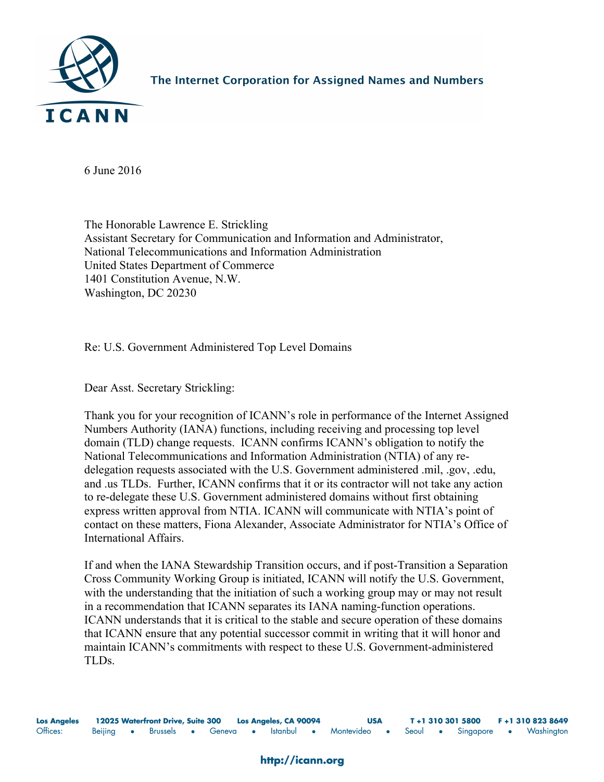

The Internet Corporation for Assigned Names and Numbers

6 June 2016

The Honorable Lawrence E. Strickling Assistant Secretary for Communication and Information and Administrator, National Telecommunications and Information Administration United States Department of Commerce 1401 Constitution Avenue, N.W. Washington, DC 20230

Re: U.S. Government Administered Top Level Domains

Dear Asst. Secretary Strickling:

Thank you for your recognition of ICANN's role in performance of the Internet Assigned Numbers Authority (IANA) functions, including receiving and processing top level domain (TLD) change requests. ICANN confirms ICANN's obligation to notify the National Telecommunications and Information Administration (NTIA) of any redelegation requests associated with the U.S. Government administered .mil, .gov, .edu, and .us TLDs. Further, ICANN confirms that it or its contractor will not take any action to re-delegate these U.S. Government administered domains without first obtaining express written approval from NTIA. ICANN will communicate with NTIA's point of contact on these matters, Fiona Alexander, Associate Administrator for NTIA's Office of International Affairs.

If and when the IANA Stewardship Transition occurs, and if post-Transition a Separation Cross Community Working Group is initiated, ICANN will notify the U.S. Government, with the understanding that the initiation of such a working group may or may not result in a recommendation that ICANN separates its IANA naming-function operations. ICANN understands that it is critical to the stable and secure operation of these domains that ICANN ensure that any potential successor commit in writing that it will honor and maintain ICANN's commitments with respect to these U.S. Government-administered TLDs.